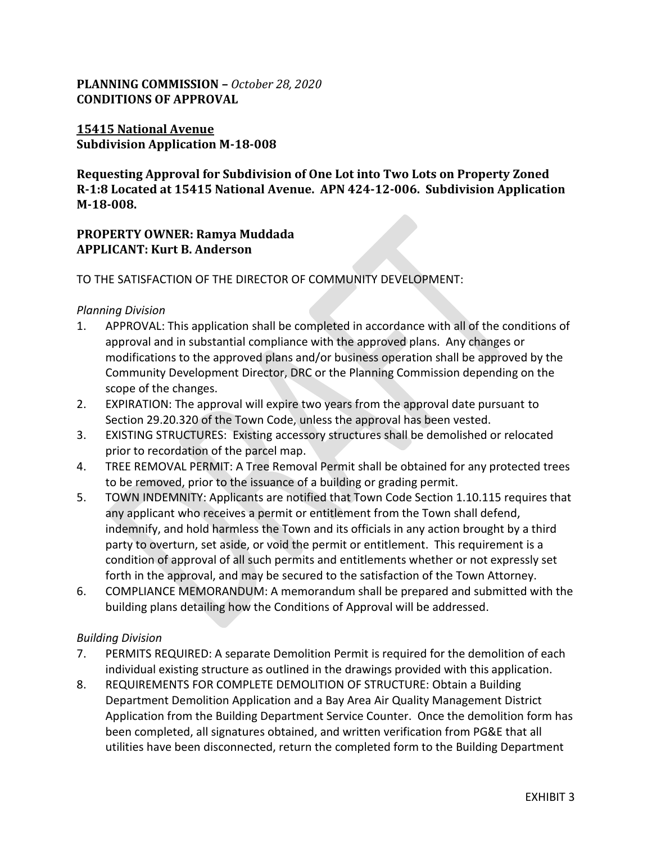# **PLANNING COMMISSION –** *October 28, 2020* **CONDITIONS OF APPROVAL**

### **15415 National Avenue Subdivision Application M-18-008**

**Requesting Approval for Subdivision of One Lot into Two Lots on Property Zoned R-1:8 Located at 15415 National Avenue. APN 424-12-006. Subdivision Application M-18-008.**

## **PROPERTY OWNER: Ramya Muddada APPLICANT: Kurt B. Anderson**

TO THE SATISFACTION OF THE DIRECTOR OF COMMUNITY DEVELOPMENT:

### *Planning Division*

- 1. APPROVAL: This application shall be completed in accordance with all of the conditions of approval and in substantial compliance with the approved plans. Any changes or modifications to the approved plans and/or business operation shall be approved by the Community Development Director, DRC or the Planning Commission depending on the scope of the changes.
- 2. EXPIRATION: The approval will expire two years from the approval date pursuant to Section 29.20.320 of the Town Code, unless the approval has been vested.
- 3. EXISTING STRUCTURES: Existing accessory structures shall be demolished or relocated prior to recordation of the parcel map.
- 4. TREE REMOVAL PERMIT: A Tree Removal Permit shall be obtained for any protected trees to be removed, prior to the issuance of a building or grading permit.
- 5. TOWN INDEMNITY: Applicants are notified that Town Code Section 1.10.115 requires that any applicant who receives a permit or entitlement from the Town shall defend, indemnify, and hold harmless the Town and its officials in any action brought by a third party to overturn, set aside, or void the permit or entitlement. This requirement is a condition of approval of all such permits and entitlements whether or not expressly set forth in the approval, and may be secured to the satisfaction of the Town Attorney.
- 6. COMPLIANCE MEMORANDUM: A memorandum shall be prepared and submitted with the building plans detailing how the Conditions of Approval will be addressed.

#### *Building Division*

- 7. PERMITS REQUIRED: A separate Demolition Permit is required for the demolition of each individual existing structure as outlined in the drawings provided with this application.
- 8. REQUIREMENTS FOR COMPLETE DEMOLITION OF STRUCTURE: Obtain a Building Department Demolition Application and a Bay Area Air Quality Management District Application from the Building Department Service Counter. Once the demolition form has been completed, all signatures obtained, and written verification from PG&E that all utilities have been disconnected, return the completed form to the Building Department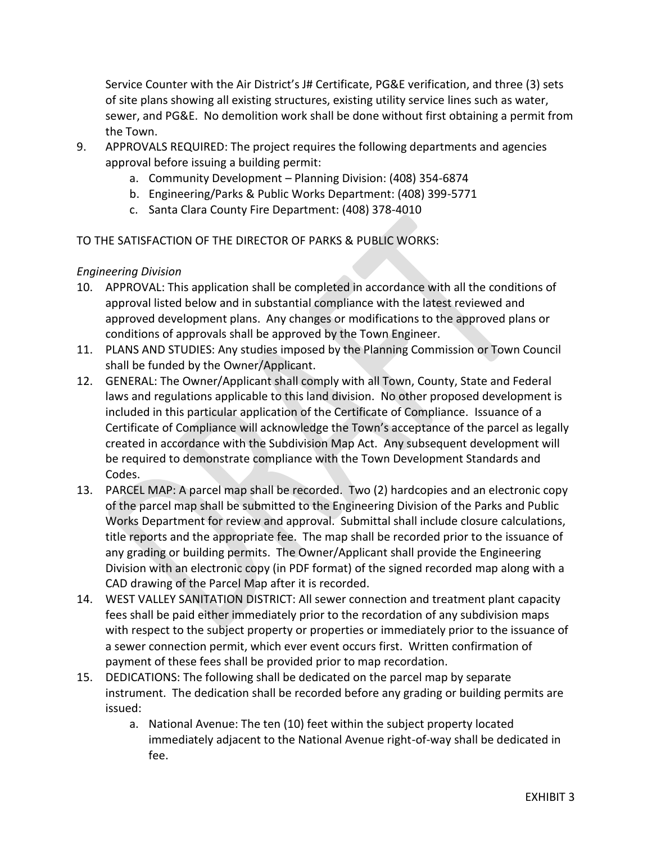Service Counter with the Air District's J# Certificate, PG&E verification, and three (3) sets of site plans showing all existing structures, existing utility service lines such as water, sewer, and PG&E. No demolition work shall be done without first obtaining a permit from the Town.

- 9. APPROVALS REQUIRED: The project requires the following departments and agencies approval before issuing a building permit:
	- a. Community Development Planning Division: (408) 354-6874
	- b. Engineering/Parks & Public Works Department: (408) 399-5771
	- c. Santa Clara County Fire Department: (408) 378-4010

TO THE SATISFACTION OF THE DIRECTOR OF PARKS & PUBLIC WORKS:

### *Engineering Division*

- 10. APPROVAL: This application shall be completed in accordance with all the conditions of approval listed below and in substantial compliance with the latest reviewed and approved development plans. Any changes or modifications to the approved plans or conditions of approvals shall be approved by the Town Engineer.
- 11. PLANS AND STUDIES: Any studies imposed by the Planning Commission or Town Council shall be funded by the Owner/Applicant.
- 12. GENERAL: The Owner/Applicant shall comply with all Town, County, State and Federal laws and regulations applicable to this land division. No other proposed development is included in this particular application of the Certificate of Compliance. Issuance of a Certificate of Compliance will acknowledge the Town's acceptance of the parcel as legally created in accordance with the Subdivision Map Act. Any subsequent development will be required to demonstrate compliance with the Town Development Standards and Codes.
- 13. PARCEL MAP: A parcel map shall be recorded. Two (2) hardcopies and an electronic copy of the parcel map shall be submitted to the Engineering Division of the Parks and Public Works Department for review and approval. Submittal shall include closure calculations, title reports and the appropriate fee. The map shall be recorded prior to the issuance of any grading or building permits. The Owner/Applicant shall provide the Engineering Division with an electronic copy (in PDF format) of the signed recorded map along with a CAD drawing of the Parcel Map after it is recorded.
- 14. WEST VALLEY SANITATION DISTRICT: All sewer connection and treatment plant capacity fees shall be paid either immediately prior to the recordation of any subdivision maps with respect to the subject property or properties or immediately prior to the issuance of a sewer connection permit, which ever event occurs first. Written confirmation of payment of these fees shall be provided prior to map recordation.
- 15. DEDICATIONS: The following shall be dedicated on the parcel map by separate instrument. The dedication shall be recorded before any grading or building permits are issued:
	- a. National Avenue: The ten (10) feet within the subject property located immediately adjacent to the National Avenue right-of-way shall be dedicated in fee.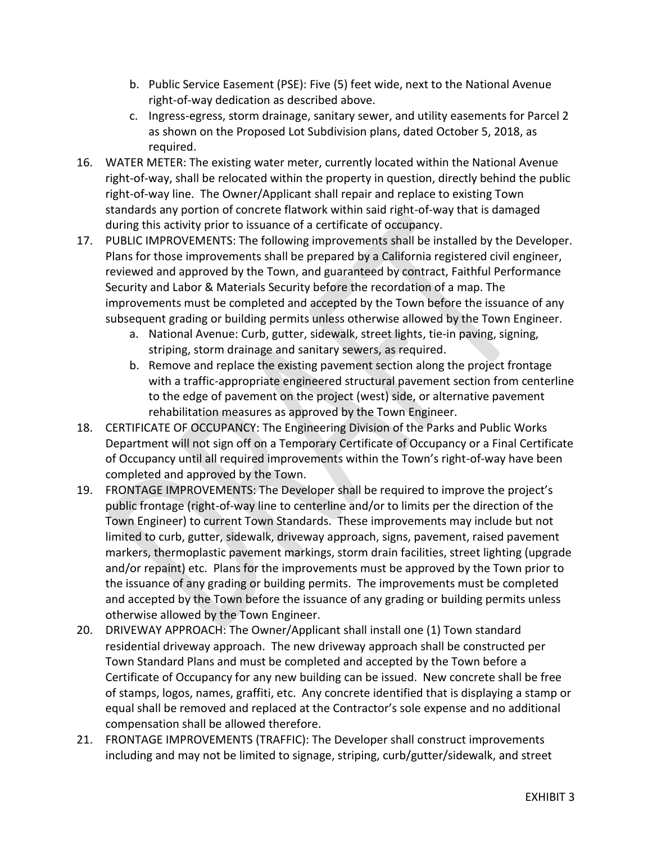- b. Public Service Easement (PSE): Five (5) feet wide, next to the National Avenue right-of-way dedication as described above.
- c. Ingress-egress, storm drainage, sanitary sewer, and utility easements for Parcel 2 as shown on the Proposed Lot Subdivision plans, dated October 5, 2018, as required.
- 16. WATER METER: The existing water meter, currently located within the National Avenue right-of-way, shall be relocated within the property in question, directly behind the public right-of-way line. The Owner/Applicant shall repair and replace to existing Town standards any portion of concrete flatwork within said right-of-way that is damaged during this activity prior to issuance of a certificate of occupancy.
- 17. PUBLIC IMPROVEMENTS: The following improvements shall be installed by the Developer. Plans for those improvements shall be prepared by a California registered civil engineer, reviewed and approved by the Town, and guaranteed by contract, Faithful Performance Security and Labor & Materials Security before the recordation of a map. The improvements must be completed and accepted by the Town before the issuance of any subsequent grading or building permits unless otherwise allowed by the Town Engineer.
	- a. National Avenue: Curb, gutter, sidewalk, street lights, tie-in paving, signing, striping, storm drainage and sanitary sewers, as required.
	- b. Remove and replace the existing pavement section along the project frontage with a traffic-appropriate engineered structural pavement section from centerline to the edge of pavement on the project (west) side, or alternative pavement rehabilitation measures as approved by the Town Engineer.
- 18. CERTIFICATE OF OCCUPANCY: The Engineering Division of the Parks and Public Works Department will not sign off on a Temporary Certificate of Occupancy or a Final Certificate of Occupancy until all required improvements within the Town's right-of-way have been completed and approved by the Town.
- 19. FRONTAGE IMPROVEMENTS: The Developer shall be required to improve the project's public frontage (right-of-way line to centerline and/or to limits per the direction of the Town Engineer) to current Town Standards. These improvements may include but not limited to curb, gutter, sidewalk, driveway approach, signs, pavement, raised pavement markers, thermoplastic pavement markings, storm drain facilities, street lighting (upgrade and/or repaint) etc. Plans for the improvements must be approved by the Town prior to the issuance of any grading or building permits. The improvements must be completed and accepted by the Town before the issuance of any grading or building permits unless otherwise allowed by the Town Engineer.
- 20. DRIVEWAY APPROACH: The Owner/Applicant shall install one (1) Town standard residential driveway approach. The new driveway approach shall be constructed per Town Standard Plans and must be completed and accepted by the Town before a Certificate of Occupancy for any new building can be issued. New concrete shall be free of stamps, logos, names, graffiti, etc. Any concrete identified that is displaying a stamp or equal shall be removed and replaced at the Contractor's sole expense and no additional compensation shall be allowed therefore.
- 21. FRONTAGE IMPROVEMENTS (TRAFFIC): The Developer shall construct improvements including and may not be limited to signage, striping, curb/gutter/sidewalk, and street